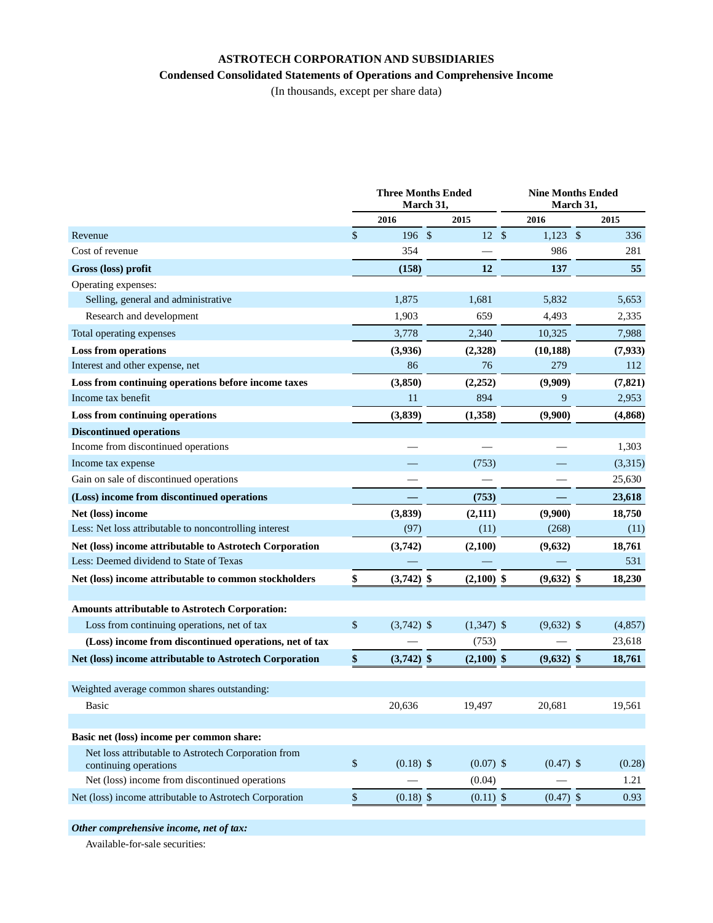## **ASTROTECH CORPORATION AND SUBSIDIARIES**

## **Condensed Consolidated Statements of Operations and Comprehensive Income**

(In thousands, except per share data)

|                                                                              |              | <b>Three Months Ended</b><br>March 31, |  | <b>Nine Months Ended</b><br>March 31, |         |              |  |          |
|------------------------------------------------------------------------------|--------------|----------------------------------------|--|---------------------------------------|---------|--------------|--|----------|
|                                                                              |              | 2016                                   |  | 2015                                  |         | 2016         |  | 2015     |
| Revenue                                                                      | $\mathbb{S}$ | 196S                                   |  | 12                                    | $\sqrt$ | $1,123$ \$   |  | 336      |
| Cost of revenue                                                              |              | 354                                    |  |                                       |         | 986          |  | 281      |
| Gross (loss) profit                                                          |              | (158)                                  |  | 12                                    |         | 137          |  | 55       |
| Operating expenses:                                                          |              |                                        |  |                                       |         |              |  |          |
| Selling, general and administrative                                          |              | 1,875                                  |  | 1,681                                 |         | 5,832        |  | 5,653    |
| Research and development                                                     |              | 1,903                                  |  | 659                                   |         | 4,493        |  | 2,335    |
| Total operating expenses                                                     |              | 3,778                                  |  | 2,340                                 |         | 10,325       |  | 7,988    |
| <b>Loss from operations</b>                                                  |              | (3,936)                                |  | (2,328)                               |         | (10, 188)    |  | (7,933)  |
| Interest and other expense, net                                              |              | 86                                     |  | 76                                    |         | 279          |  | 112      |
| Loss from continuing operations before income taxes                          |              | (3,850)                                |  | (2, 252)                              |         | (9,909)      |  | (7, 821) |
| Income tax benefit                                                           |              | 11                                     |  | 894                                   |         | 9            |  | 2,953    |
| Loss from continuing operations                                              |              | (3,839)                                |  | (1,358)                               |         | (9,900)      |  | (4,868)  |
| <b>Discontinued operations</b>                                               |              |                                        |  |                                       |         |              |  |          |
| Income from discontinued operations                                          |              |                                        |  |                                       |         |              |  | 1,303    |
| Income tax expense                                                           |              |                                        |  | (753)                                 |         |              |  | (3,315)  |
| Gain on sale of discontinued operations                                      |              |                                        |  |                                       |         |              |  | 25,630   |
| (Loss) income from discontinued operations                                   |              |                                        |  | (753)                                 |         |              |  | 23,618   |
| Net (loss) income                                                            |              | (3, 839)                               |  | (2, 111)                              |         | (9,900)      |  | 18,750   |
| Less: Net loss attributable to noncontrolling interest                       |              | (97)                                   |  | (11)                                  |         | (268)        |  | (11)     |
| Net (loss) income attributable to Astrotech Corporation                      |              | (3,742)                                |  | (2,100)                               |         | (9,632)      |  | 18,761   |
| Less: Deemed dividend to State of Texas                                      |              |                                        |  |                                       |         |              |  | 531      |
| Net (loss) income attributable to common stockholders                        | \$           | $(3,742)$ \$                           |  | $(2,100)$ \$                          |         | $(9,632)$ \$ |  | 18,230   |
|                                                                              |              |                                        |  |                                       |         |              |  |          |
| Amounts attributable to Astrotech Corporation:                               |              |                                        |  |                                       |         |              |  |          |
| Loss from continuing operations, net of tax                                  | \$           | $(3,742)$ \$                           |  | $(1,347)$ \$                          |         | $(9,632)$ \$ |  | (4, 857) |
| (Loss) income from discontinued operations, net of tax                       |              |                                        |  | (753)                                 |         |              |  | 23,618   |
| Net (loss) income attributable to Astrotech Corporation                      | \$           | $(3,742)$ \$                           |  | $(2,100)$ \$                          |         | $(9,632)$ \$ |  | 18,761   |
| Weighted average common shares outstanding:                                  |              |                                        |  |                                       |         |              |  |          |
| Basic                                                                        |              | 20,636                                 |  | 19,497                                |         | 20,681       |  | 19,561   |
|                                                                              |              |                                        |  |                                       |         |              |  |          |
| Basic net (loss) income per common share:                                    |              |                                        |  |                                       |         |              |  |          |
| Net loss attributable to Astrotech Corporation from<br>continuing operations | $\mathbb{S}$ | $(0.18)$ \$                            |  | $(0.07)$ \$                           |         | $(0.47)$ \$  |  | (0.28)   |
| Net (loss) income from discontinued operations                               |              |                                        |  | (0.04)                                |         |              |  | 1.21     |
| Net (loss) income attributable to Astrotech Corporation                      | \$           | $(0.18)$ \$                            |  | $(0.11)$ \$                           |         | $(0.47)$ \$  |  | 0.93     |
|                                                                              |              |                                        |  |                                       |         |              |  |          |

*Other comprehensive income, net of tax:*

Available-for-sale securities: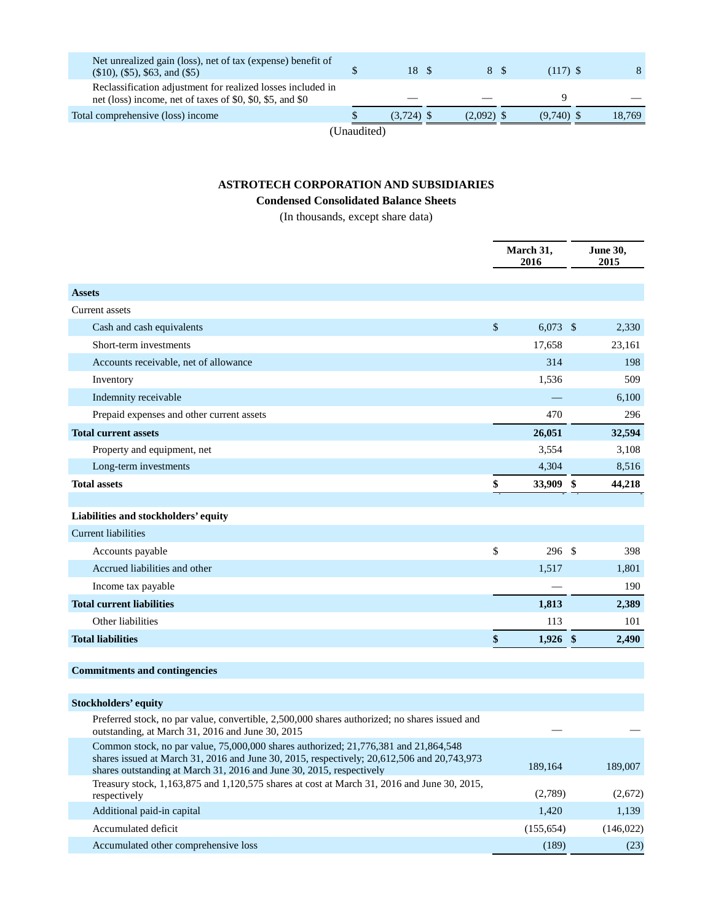| Net unrealized gain (loss), net of tax (expense) benefit of<br>$(\$10), (\$5), \$63, \text{ and } (\$5)$                 |             | 18 \$        | 8 S          | $(117)$ \$   |        |
|--------------------------------------------------------------------------------------------------------------------------|-------------|--------------|--------------|--------------|--------|
| Reclassification adjustment for realized losses included in<br>net (loss) income, net of taxes of \$0, \$0, \$5, and \$0 |             |              |              |              |        |
| Total comprehensive (loss) income                                                                                        |             | $(3.724)$ \$ | $(2.092)$ \$ | $(9.740)$ \$ | 18,769 |
|                                                                                                                          | (Unaudited) |              |              |              |        |

## **ASTROTECH CORPORATION AND SUBSIDIARIES**

## **Condensed Consolidated Balance Sheets**

(In thousands, except share data)

|                                                                                                                                                                                                                                                           |      | March 31,<br>2016 |  | June 30,<br>2015 |
|-----------------------------------------------------------------------------------------------------------------------------------------------------------------------------------------------------------------------------------------------------------|------|-------------------|--|------------------|
| <b>Assets</b>                                                                                                                                                                                                                                             |      |                   |  |                  |
| Current assets                                                                                                                                                                                                                                            |      |                   |  |                  |
| Cash and cash equivalents                                                                                                                                                                                                                                 | $\$$ | $6,073$ \$        |  | 2,330            |
| Short-term investments                                                                                                                                                                                                                                    |      | 17,658            |  | 23,161           |
| Accounts receivable, net of allowance                                                                                                                                                                                                                     |      | 314               |  | 198              |
| Inventory                                                                                                                                                                                                                                                 |      | 1,536             |  | 509              |
| Indemnity receivable                                                                                                                                                                                                                                      |      |                   |  | 6,100            |
| Prepaid expenses and other current assets                                                                                                                                                                                                                 |      | 470               |  | 296              |
| <b>Total current assets</b>                                                                                                                                                                                                                               |      | 26,051            |  | 32,594           |
| Property and equipment, net                                                                                                                                                                                                                               |      | 3,554             |  | 3,108            |
| Long-term investments                                                                                                                                                                                                                                     |      | 4,304             |  | 8,516            |
| <b>Total assets</b>                                                                                                                                                                                                                                       | \$   | 33,909 \$         |  | 44,218           |
|                                                                                                                                                                                                                                                           |      |                   |  |                  |
| Liabilities and stockholders' equity                                                                                                                                                                                                                      |      |                   |  |                  |
| <b>Current liabilities</b>                                                                                                                                                                                                                                |      |                   |  |                  |
| Accounts payable                                                                                                                                                                                                                                          | \$   | 296 \$            |  | 398              |
| Accrued liabilities and other                                                                                                                                                                                                                             |      | 1,517             |  | 1,801            |
| Income tax payable                                                                                                                                                                                                                                        |      |                   |  | 190              |
| <b>Total current liabilities</b>                                                                                                                                                                                                                          |      | 1,813             |  | 2,389            |
| Other liabilities                                                                                                                                                                                                                                         |      | 113               |  | 101              |
| <b>Total liabilities</b>                                                                                                                                                                                                                                  | \$   | $1,926$ \$        |  | 2,490            |
| <b>Commitments and contingencies</b>                                                                                                                                                                                                                      |      |                   |  |                  |
| <b>Stockholders' equity</b>                                                                                                                                                                                                                               |      |                   |  |                  |
| Preferred stock, no par value, convertible, 2,500,000 shares authorized; no shares issued and<br>outstanding, at March 31, 2016 and June 30, 2015                                                                                                         |      |                   |  |                  |
| Common stock, no par value, 75,000,000 shares authorized; 21,776,381 and 21,864,548<br>shares issued at March 31, 2016 and June 30, 2015, respectively; 20,612,506 and 20,743,973<br>shares outstanding at March 31, 2016 and June 30, 2015, respectively |      | 189,164           |  | 189,007          |
| Treasury stock, 1,163,875 and 1,120,575 shares at cost at March 31, 2016 and June 30, 2015,<br>respectively                                                                                                                                               |      | (2,789)           |  | (2,672)          |

Additional paid-in capital 1,139 1,139 Accumulated deficit (155,654) (146,022) Accumulated other comprehensive loss (189) (23)